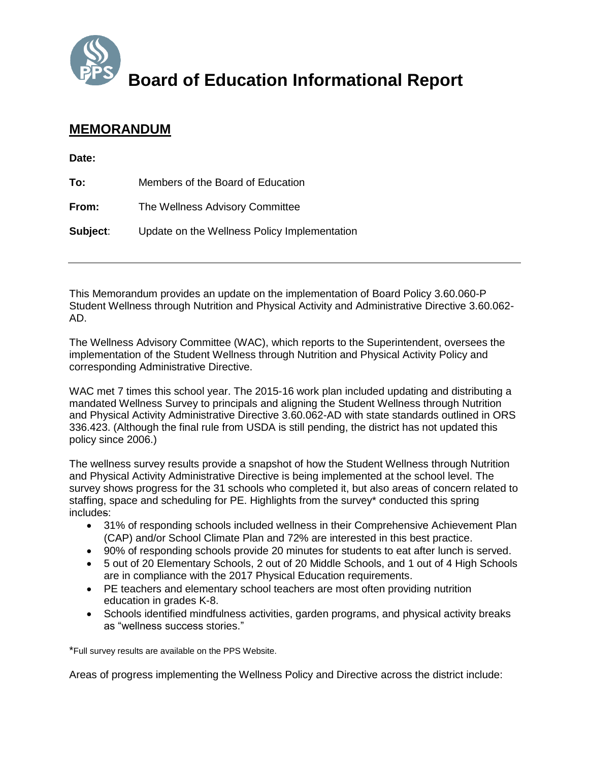

## **Board of Education Informational Report**

## **MEMORANDUM**

**Date:**

| To:      | Members of the Board of Education            |
|----------|----------------------------------------------|
| From:    | The Wellness Advisory Committee              |
| Subject: | Update on the Wellness Policy Implementation |

This Memorandum provides an update on the implementation of Board Policy 3.60.060-P Student Wellness through Nutrition and Physical Activity and Administrative Directive 3.60.062- AD.

The Wellness Advisory Committee (WAC), which reports to the Superintendent, oversees the implementation of the Student Wellness through Nutrition and Physical Activity Policy and corresponding Administrative Directive.

WAC met 7 times this school year. The 2015-16 work plan included updating and distributing a mandated Wellness Survey to principals and aligning the Student Wellness through Nutrition and Physical Activity Administrative Directive 3.60.062-AD with state standards outlined in ORS 336.423. (Although the final rule from USDA is still pending, the district has not updated this policy since 2006.)

The wellness survey results provide a snapshot of how the Student Wellness through Nutrition and Physical Activity Administrative Directive is being implemented at the school level. The survey shows progress for the 31 schools who completed it, but also areas of concern related to staffing, space and scheduling for PE. Highlights from the survey\* conducted this spring includes:

- 31% of responding schools included wellness in their Comprehensive Achievement Plan (CAP) and/or School Climate Plan and 72% are interested in this best practice.
- 90% of responding schools provide 20 minutes for students to eat after lunch is served.
- 5 out of 20 Elementary Schools, 2 out of 20 Middle Schools, and 1 out of 4 High Schools are in compliance with the 2017 Physical Education requirements.
- PE teachers and elementary school teachers are most often providing nutrition education in grades K-8.
- Schools identified mindfulness activities, garden programs, and physical activity breaks as "wellness success stories."

\*Full survey results are available on the PPS Website.

Areas of progress implementing the Wellness Policy and Directive across the district include: